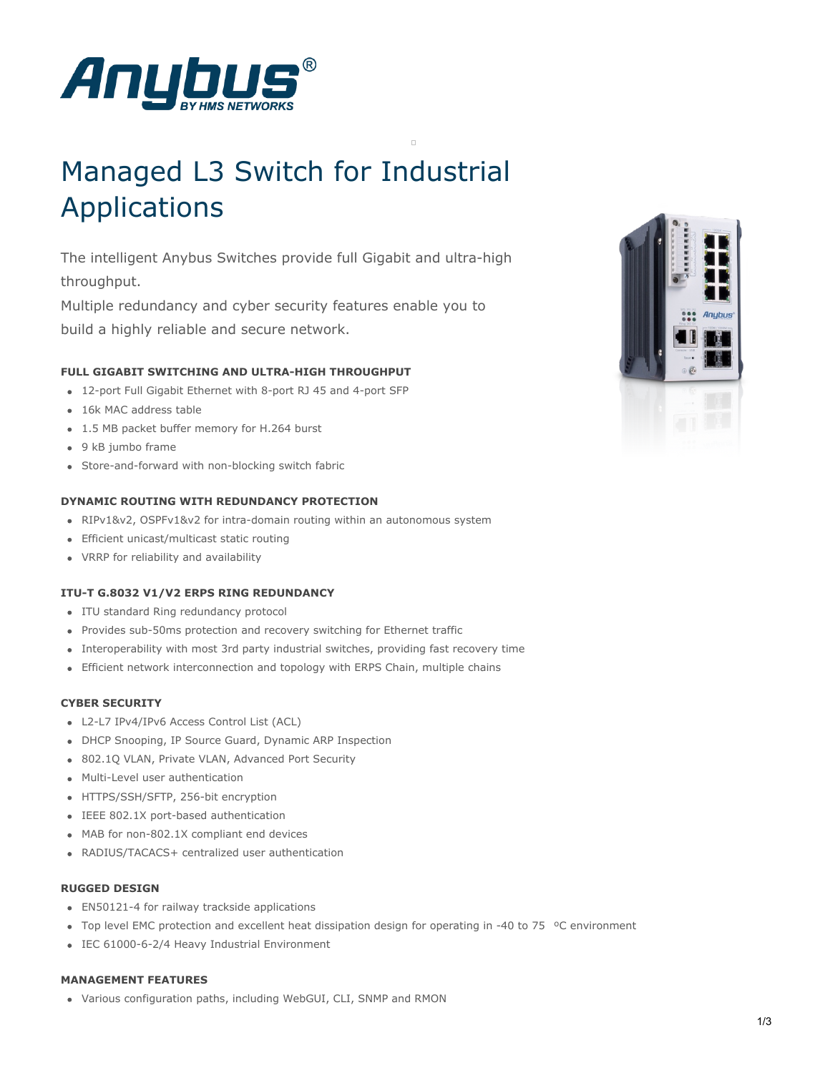

# Managed L3 Switch for Industrial Applications

The intelligent Anybus Switches provide full Gigabit and ultra-high throughput.

Multiple redundancy and cyber security features enable you to build a highly reliable and secure network.

# **FULL GIGABIT SWITCHING AND ULTRA-HIGH THROUGHPUT**

- 12-port Full Gigabit Ethernet with 8-port RJ 45 and 4-port SFP
- 16k MAC address table
- 1.5 MB packet buffer memory for H.264 burst
- 9 kB jumbo frame
- Store-and-forward with non-blocking switch fabric

## **DYNAMIC ROUTING WITH REDUNDANCY PROTECTION**

- RIPv1&v2, OSPFv1&v2 for intra-domain routing within an autonomous system
- Efficient unicast/multicast static routing
- VRRP for reliability and availability

## **ITU-T G.8032 V1/V2 ERPS RING REDUNDANCY**

- ITU standard Ring redundancy protocol
- Provides sub-50ms protection and recovery switching for Ethernet traffic
- Interoperability with most 3rd party industrial switches, providing fast recovery time
- Efficient network interconnection and topology with ERPS Chain, multiple chains

# **CYBER SECURITY**

- L2-L7 IPv4/IPv6 Access Control List (ACL)
- DHCP Snooping, IP Source Guard, Dynamic ARP Inspection
- 802.1Q VLAN, Private VLAN, Advanced Port Security
- Multi-Level user authentication
- HTTPS/SSH/SFTP, 256-bit encryption
- IEEE 802.1X port-based authentication
- MAB for non-802.1X compliant end devices
- RADIUS/TACACS+ centralized user authentication

#### **RUGGED DESIGN**

- EN50121-4 for railway trackside applications
- Top level EMC protection and excellent heat dissipation design for operating in -40 to 75  $\degree$ C environment
- IEC 61000-6-2/4 Heavy Industrial Environment

#### **MANAGEMENT FEATURES**

Various configuration paths, including WebGUI, CLI, SNMP and RMON

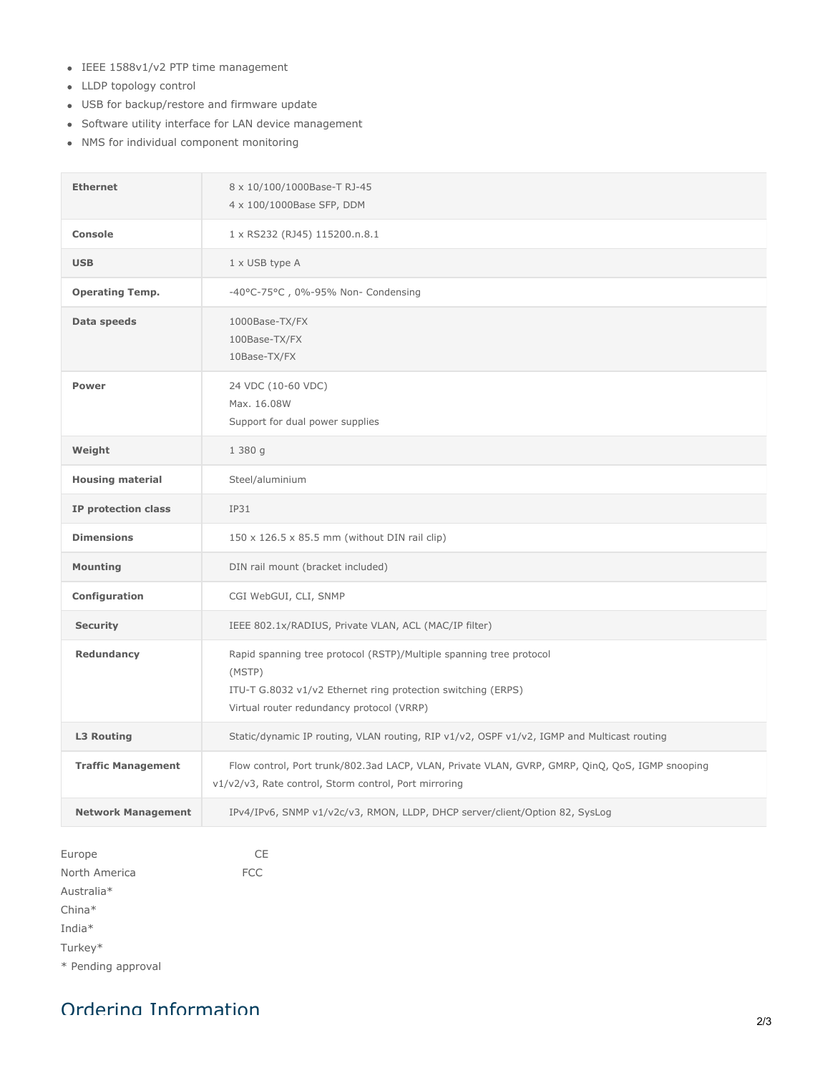- IEEE 1588v1/v2 PTP time management
- LLDP topology control
- USB for backup/restore and firmware update
- Software utility interface for LAN device management
- NMS for individual component monitoring

| <b>Ethernet</b>           | 8 x 10/100/1000Base-T RJ-45<br>4 x 100/1000Base SFP, DDM                                                                                                                                   |
|---------------------------|--------------------------------------------------------------------------------------------------------------------------------------------------------------------------------------------|
| <b>Console</b>            | 1 x RS232 (RJ45) 115200.n.8.1                                                                                                                                                              |
| <b>USB</b>                | 1 x USB type A                                                                                                                                                                             |
| <b>Operating Temp.</b>    | -40°C-75°C, 0%-95% Non- Condensing                                                                                                                                                         |
| Data speeds               | 1000Base-TX/FX<br>100Base-TX/FX<br>10Base-TX/FX                                                                                                                                            |
| <b>Power</b>              | 24 VDC (10-60 VDC)<br>Max. 16.08W<br>Support for dual power supplies                                                                                                                       |
| Weight                    | 1 380 g                                                                                                                                                                                    |
| <b>Housing material</b>   | Steel/aluminium                                                                                                                                                                            |
| IP protection class       | IP31                                                                                                                                                                                       |
| <b>Dimensions</b>         | 150 x 126.5 x 85.5 mm (without DIN rail clip)                                                                                                                                              |
| <b>Mounting</b>           | DIN rail mount (bracket included)                                                                                                                                                          |
| Configuration             | CGI WebGUI, CLI, SNMP                                                                                                                                                                      |
| <b>Security</b>           | IEEE 802.1x/RADIUS, Private VLAN, ACL (MAC/IP filter)                                                                                                                                      |
| Redundancy                | Rapid spanning tree protocol (RSTP)/Multiple spanning tree protocol<br>(MSTP)<br>ITU-T G.8032 v1/v2 Ethernet ring protection switching (ERPS)<br>Virtual router redundancy protocol (VRRP) |
| <b>L3 Routing</b>         | Static/dynamic IP routing, VLAN routing, RIP v1/v2, OSPF v1/v2, IGMP and Multicast routing                                                                                                 |
| <b>Traffic Management</b> | Flow control, Port trunk/802.3ad LACP, VLAN, Private VLAN, GVRP, GMRP, QinQ, QoS, IGMP snooping<br>v1/v2/v3, Rate control, Storm control, Port mirroring                                   |
| <b>Network Management</b> | IPv4/IPv6, SNMP v1/v2c/v3, RMON, LLDP, DHCP server/client/Option 82, SysLog                                                                                                                |

| Europe             | CF         |
|--------------------|------------|
| North America      | <b>FCC</b> |
| Australia*         |            |
| $China*$           |            |
| India $*$          |            |
| Turkey*            |            |
| * Pending approval |            |

# Ordering Information